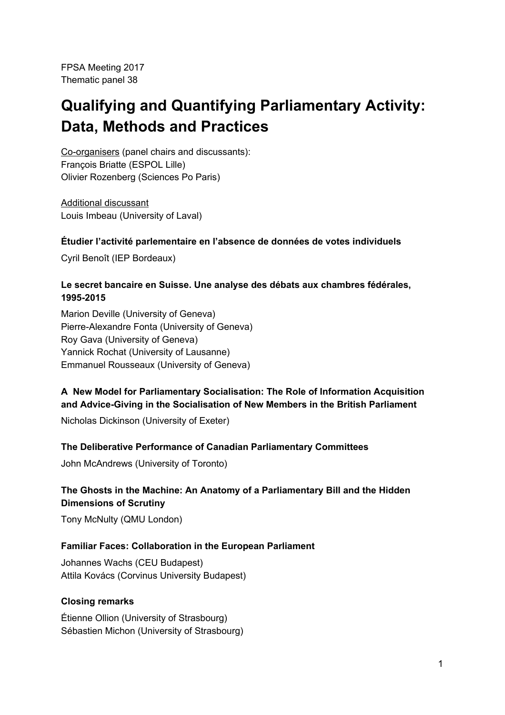FPSA Meeting 2017 Thematic panel 38

# **Qualifying and Quantifying Parliamentary Activity: Data, Methods and Practices**

Co-organisers (panel chairs and discussants): François Briatte (ESPOL Lille) Olivier Rozenberg (Sciences Po Paris)

Additional discussant Louis Imbeau (University of Laval)

# **Étudier l'activité parlementaire en l'absence de données de votes individuels**

Cyril Benoît (IEP Bordeaux)

# **Le secret bancaire en Suisse. Une analyse des débats aux chambres fédérales, 1995-2015**

Marion Deville (University of Geneva) Pierre-Alexandre Fonta (University of Geneva) Roy Gava (University of Geneva) Yannick Rochat (University of Lausanne) Emmanuel Rousseaux (University of Geneva)

# **A New Model for Parliamentary Socialisation: The Role of Information Acquisition and Advice-Giving in the Socialisation of New Members in the British Parliament**

Nicholas Dickinson (University of Exeter)

#### **The Deliberative Performance of Canadian Parliamentary Committees**

John McAndrews (University of Toronto)

# **The Ghosts in the Machine: An Anatomy of a Parliamentary Bill and the Hidden Dimensions of Scrutiny**

Tony McNulty (QMU London)

#### **Familiar Faces: Collaboration in the European Parliament**

Johannes Wachs (CEU Budapest) Attila Kovács (Corvinus University Budapest)

#### **Closing remarks**

Étienne Ollion (University of Strasbourg) Sébastien Michon (University of Strasbourg)